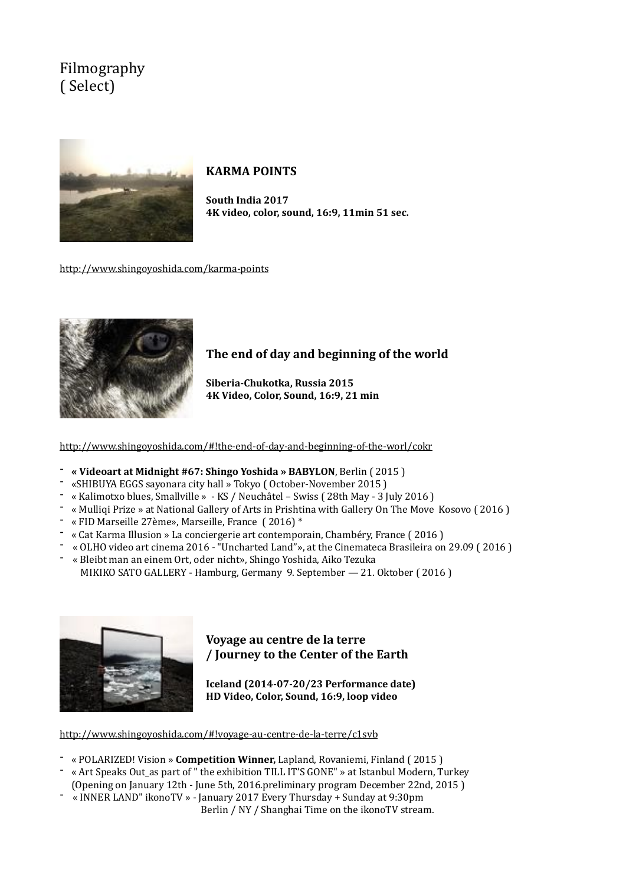# Filmography ( Select)



### **KARMA POINTS**

South India 2017 **4K video, color, sound, 16:9, 11min 51 sec.** 

<http://www.shingoyoshida.com/karma-points>



### The end of day and beginning of the world

Siberia-Chukotka, Russia 2015 **4K Video, Color, Sound, 16:9, 21 min**

<http://www.shingoyoshida.com/#!the-end-of-day-and-beginning-of-the-worl/cokr>

- <sup>-</sup> « Videoart at Midnight #67: Shingo Yoshida » BABYLON, Berlin (2015)
- «SHIBUYA EGGS sayonara city hall » Tokyo (October-November 2015)
- 
- « Kalimotxo blues, Smallville » KS / Neuchâtel Swiss ( 28th May 3 July 2016 )<br>- « Mulliqi Prize » at National Gallery of Arts in Prishtina with Gallery On The Move Kosovo ( 2016 )
- $-$  « FID Marseille 27ème», Marseille, France (2016)<sup>\*</sup>
- « Cat Karma Illusion » La conciergerie art contemporain, Chambéry, France (2016)
- « OLHO video art cinema 2016 "Uncharted Land"», at the Cinemateca Brasileira on 29.09 (2016) « Bleibt man an einem Ort, oder nicht», Shingo Yoshida, Aiko Tezuka
- MIKIKO SATO GALLERY Hamburg, Germany 9. September 21. Oktober (2016)



### **Voyage au centre de la terre / Journey to the Center of the Earth**

**Iceland (2014-07-20/23 Performance date) HD** Video, Color, Sound, 16:9, loop video

<http://www.shingoyoshida.com/#!voyage-au-centre-de-la-terre/c1svb>

- « POLARIZED! Vision » **Competition Winner**, Lapland, Rovaniemi, Finland (2015)
- « Art Speaks Out as part of " the exhibition TILL IT'S GONE" » at Istanbul Modern, Turkey (Opening on January 12th - June 5th, 2016.preliminary program December 22nd, 2015)
- « INNER LAND" ikonoTV » January 2017 Every Thursday + Sunday at 9:30pm

Berlin / NY / Shanghai Time on the ikonoTV stream.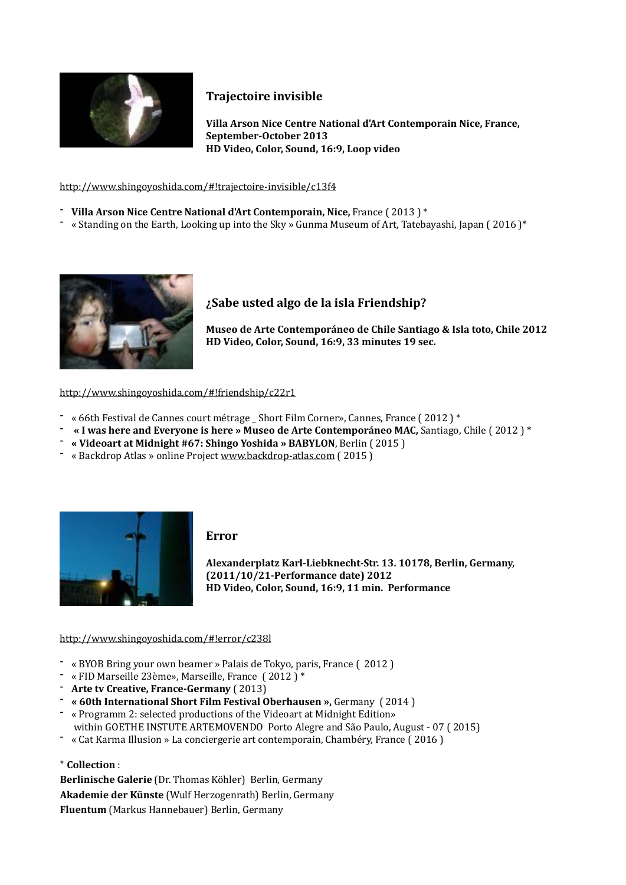

# **Trajectoire invisible**

**Villa Arson Nice Centre National d'Art Contemporain Nice, France, September-October 2013 HD** Video, Color, Sound, 16:9, Loop video

#### <http://www.shingoyoshida.com/#!trajectoire-invisible/c13f4>

- <sup>-</sup> Villa Arson Nice Centre National d'Art Contemporain, Nice, France (2013)<sup>\*</sup>
- $-$  « Standing on the Earth, Looking up into the Sky » Gunma Museum of Art, Tatebayashi, Japan (2016)<sup>\*</sup>



### *i***Sabe usted algo de la isla Friendship?**

Museo de Arte Contemporáneo de Chile Santiago & Isla toto, Chile 2012 HD Video, Color, Sound, 16:9, 33 minutes 19 sec.

#### <http://www.shingoyoshida.com/#!friendship/c22r1>

- 
- <sup>-</sup> « 66th Festival de Cannes court métrage \_ Short Film Corner», Cannes, France ( 2012 ) \*<br>- **« I was here and Everyone is here » Museo de Arte Contemporáneo MAC**, Santiago, Chile ( 2012 ) \*
- <sup>-</sup> « Videoart at Midnight #67: Shingo Yoshida » BABYLON, Berlin (2015)
- « Backdrop Atlas » online Project www.backdrop-atlas.com (2015)



#### **Error**

**Alexanderplatz Karl-Liebknecht-Str. 13. 10178, Berlin, Germany, (2011/10/21-Performance date) 2012 HD** Video, Color, Sound, 16:9, 11 min. Performance

#### <http://www.shingoyoshida.com/#!error/c238l>

- « BYOB Bring your own beamer » Palais de Tokyo, paris, France ( 2012 )
- $-$  « FID Marseille 23ème», Marseille, France (2012)<sup>\*</sup>
- 
- **Arte tv Creative, France-Germany** ( 2013)<br>- « 60th International Short Film Festival Oberhausen », Germany ( 2014 )
- « Programm 2: selected productions of the Videoart at Midnight Edition»
	- within GOETHE INSTUTE ARTEMOVENDO Porto Alegre and São Paulo, August 07 (2015)
- « Cat Karma Illusion » La conciergerie art contemporain, Chambéry, France (2016)
- \* **Collection** :

**Berlinische Galerie** (Dr. Thomas Köhler) Berlin, Germany **Akademie der Künste** (Wulf Herzogenrath) Berlin, Germany **Fluentum** (Markus Hannebauer) Berlin, Germany